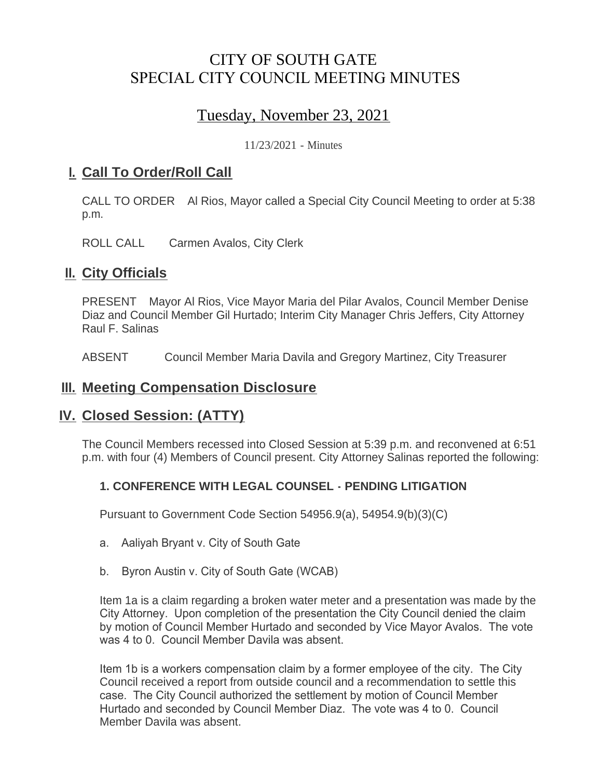# CITY OF SOUTH GATE SPECIAL CITY COUNCIL MEETING MINUTES

# Tuesday, November 23, 2021

11/23/2021 - Minutes

# <u>**I. Call To Order/Roll Call**</u>

CALL TO ORDER Al Rios, Mayor called a Special City Council Meeting to order at 5:38 p.m.

ROLL CALL Carmen Avalos, City Clerk

## **II.** City Officials

PRESENT Mayor Al Rios, Vice Mayor Maria del Pilar Avalos, Council Member Denise Diaz and Council Member Gil Hurtado; Interim City Manager Chris Jeffers, City Attorney Raul F. Salinas

ABSENT Council Member Maria Davila and Gregory Martinez, City Treasurer

### **Meeting Compensation Disclosure III.**

## **Closed Session: (ATTY) IV.**

The Council Members recessed into Closed Session at 5:39 p.m. and reconvened at 6:51 p.m. with four (4) Members of Council present. City Attorney Salinas reported the following:

#### **1. CONFERENCE WITH LEGAL COUNSEL - PENDING LITIGATION**

Pursuant to Government Code Section 54956.9(a), 54954.9(b)(3)(C)

- a. Aaliyah Bryant v. City of South Gate
- b. Byron Austin v. City of South Gate (WCAB)

Item 1a is a claim regarding a broken water meter and a presentation was made by the City Attorney. Upon completion of the presentation the City Council denied the claim by motion of Council Member Hurtado and seconded by Vice Mayor Avalos. The vote was 4 to 0. Council Member Davila was absent

Item 1b is a workers compensation claim by a former employee of the city. The City Council received a report from outside council and a recommendation to settle this case. The City Council authorized the settlement by motion of Council Member Hurtado and seconded by Council Member Diaz. The vote was 4 to 0. Council Member Davila was absent.